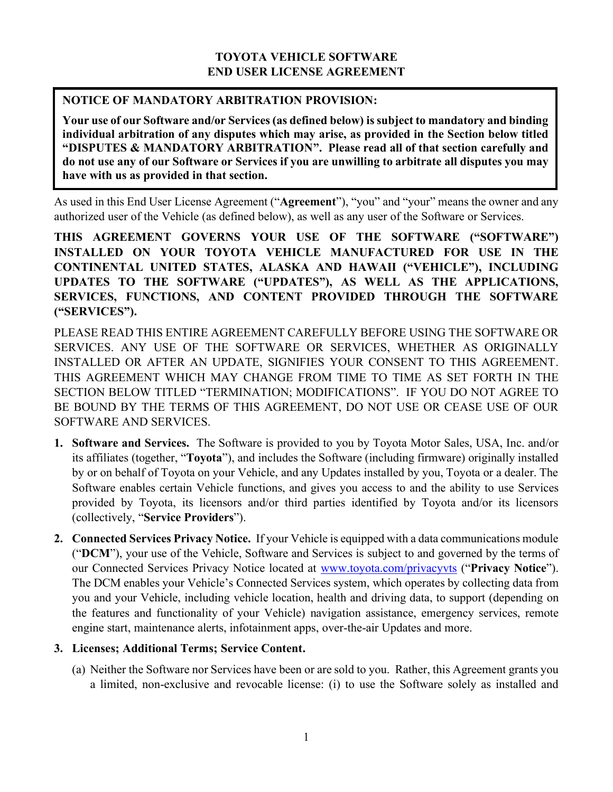## **TOYOTA VEHICLE SOFTWARE END USER LICENSE AGREEMENT**

## **NOTICE OF MANDATORY ARBITRATION PROVISION:**

**Your use of our Software and/or Services(as defined below) is subject to mandatory and binding individual arbitration of any disputes which may arise, as provided in the Section below titled "DISPUTES & MANDATORY ARBITRATION". Please read all of that section carefully and do not use any of our Software or Services if you are unwilling to arbitrate all disputes you may have with us as provided in that section.**

As used in this End User License Agreement ("**Agreement**"), "you" and "your" means the owner and any authorized user of the Vehicle (as defined below), as well as any user of the Software or Services.

**THIS AGREEMENT GOVERNS YOUR USE OF THE SOFTWARE ("SOFTWARE") INSTALLED ON YOUR TOYOTA VEHICLE MANUFACTURED FOR USE IN THE CONTINENTAL UNITED STATES, ALASKA AND HAWAII ("VEHICLE"), INCLUDING UPDATES TO THE SOFTWARE ("UPDATES"), AS WELL AS THE APPLICATIONS, SERVICES, FUNCTIONS, AND CONTENT PROVIDED THROUGH THE SOFTWARE ("SERVICES").** 

PLEASE READ THIS ENTIRE AGREEMENT CAREFULLY BEFORE USING THE SOFTWARE OR SERVICES. ANY USE OF THE SOFTWARE OR SERVICES, WHETHER AS ORIGINALLY INSTALLED OR AFTER AN UPDATE, SIGNIFIES YOUR CONSENT TO THIS AGREEMENT. THIS AGREEMENT WHICH MAY CHANGE FROM TIME TO TIME AS SET FORTH IN THE SECTION BELOW TITLED "TERMINATION; MODIFICATIONS". IF YOU DO NOT AGREE TO BE BOUND BY THE TERMS OF THIS AGREEMENT, DO NOT USE OR CEASE USE OF OUR SOFTWARE AND SERVICES.

- **1. Software and Services.** The Software is provided to you by Toyota Motor Sales, USA, Inc. and/or its affiliates (together, "**Toyota**"), and includes the Software (including firmware) originally installed by or on behalf of Toyota on your Vehicle, and any Updates installed by you, Toyota or a dealer. The Software enables certain Vehicle functions, and gives you access to and the ability to use Services provided by Toyota, its licensors and/or third parties identified by Toyota and/or its licensors (collectively, "**Service Providers**").
- **2. Connected Services Privacy Notice.** If your Vehicle is equipped with a data communications module ("**DCM**"), your use of the Vehicle, Software and Services is subject to and governed by the terms of our Connected Services Privacy Notice located at [www.toyota.com/privacyvts](http://www.toyota.com/privacyvts) ("**Privacy Notice**"). The DCM enables your Vehicle's Connected Services system, which operates by collecting data from you and your Vehicle, including vehicle location, health and driving data, to support (depending on the features and functionality of your Vehicle) navigation assistance, emergency services, remote engine start, maintenance alerts, infotainment apps, over-the-air Updates and more.

# **3. Licenses; Additional Terms; Service Content.**

(a) Neither the Software nor Services have been or are sold to you. Rather, this Agreement grants you a limited, non-exclusive and revocable license: (i) to use the Software solely as installed and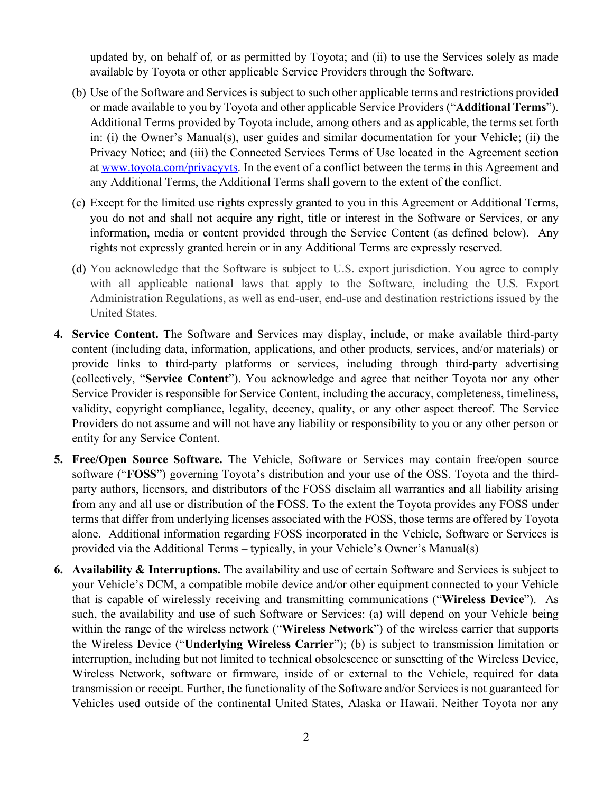updated by, on behalf of, or as permitted by Toyota; and (ii) to use the Services solely as made available by Toyota or other applicable Service Providers through the Software.

- (b) Use of the Software and Services is subject to such other applicable terms and restrictions provided or made available to you by Toyota and other applicable Service Providers ("**Additional Terms**"). Additional Terms provided by Toyota include, among others and as applicable, the terms set forth in: (i) the Owner's Manual(s), user guides and similar documentation for your Vehicle; (ii) the Privacy Notice; and (iii) the Connected Services Terms of Use located in the Agreement section at [www.toyota.com/privacyvts.](http://www.toyota.com/privacyvts) In the event of a conflict between the terms in this Agreement and any Additional Terms, the Additional Terms shall govern to the extent of the conflict.
- (c) Except for the limited use rights expressly granted to you in this Agreement or Additional Terms, you do not and shall not acquire any right, title or interest in the Software or Services, or any information, media or content provided through the Service Content (as defined below). Any rights not expressly granted herein or in any Additional Terms are expressly reserved.
- (d) You acknowledge that the Software is subject to U.S. export jurisdiction. You agree to comply with all applicable national laws that apply to the Software, including the U.S. Export Administration Regulations, as well as end-user, end-use and destination restrictions issued by the United States.
- **4. Service Content.** The Software and Services may display, include, or make available third-party content (including data, information, applications, and other products, services, and/or materials) or provide links to third-party platforms or services, including through third-party advertising (collectively, "**Service Content**"). You acknowledge and agree that neither Toyota nor any other Service Provider is responsible for Service Content, including the accuracy, completeness, timeliness, validity, copyright compliance, legality, decency, quality, or any other aspect thereof. The Service Providers do not assume and will not have any liability or responsibility to you or any other person or entity for any Service Content.
- **5. Free/Open Source Software.** The Vehicle, Software or Services may contain free/open source software ("**FOSS**") governing Toyota's distribution and your use of the OSS. Toyota and the thirdparty authors, licensors, and distributors of the FOSS disclaim all warranties and all liability arising from any and all use or distribution of the FOSS. To the extent the Toyota provides any FOSS under terms that differ from underlying licenses associated with the FOSS, those terms are offered by Toyota alone. Additional information regarding FOSS incorporated in the Vehicle, Software or Services is provided via the Additional Terms – typically, in your Vehicle's Owner's Manual(s)
- **6. Availability & Interruptions.** The availability and use of certain Software and Services is subject to your Vehicle's DCM, a compatible mobile device and/or other equipment connected to your Vehicle that is capable of wirelessly receiving and transmitting communications ("**Wireless Device**"). As such, the availability and use of such Software or Services: (a) will depend on your Vehicle being within the range of the wireless network ("**Wireless Network**") of the wireless carrier that supports the Wireless Device ("**Underlying Wireless Carrier**"); (b) is subject to transmission limitation or interruption, including but not limited to technical obsolescence or sunsetting of the Wireless Device, Wireless Network, software or firmware, inside of or external to the Vehicle, required for data transmission or receipt. Further, the functionality of the Software and/or Services is not guaranteed for Vehicles used outside of the continental United States, Alaska or Hawaii. Neither Toyota nor any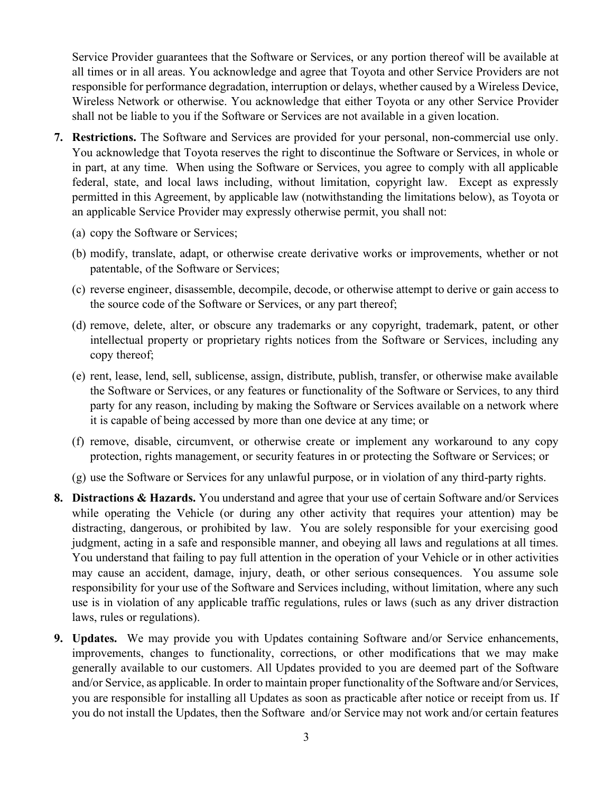Service Provider guarantees that the Software or Services, or any portion thereof will be available at all times or in all areas. You acknowledge and agree that Toyota and other Service Providers are not responsible for performance degradation, interruption or delays, whether caused by a Wireless Device, Wireless Network or otherwise. You acknowledge that either Toyota or any other Service Provider shall not be liable to you if the Software or Services are not available in a given location.

- **7. Restrictions.** The Software and Services are provided for your personal, non-commercial use only. You acknowledge that Toyota reserves the right to discontinue the Software or Services, in whole or in part, at any time. When using the Software or Services, you agree to comply with all applicable federal, state, and local laws including, without limitation, copyright law. Except as expressly permitted in this Agreement, by applicable law (notwithstanding the limitations below), as Toyota or an applicable Service Provider may expressly otherwise permit, you shall not:
	- (a) copy the Software or Services;
	- (b) modify, translate, adapt, or otherwise create derivative works or improvements, whether or not patentable, of the Software or Services;
	- (c) reverse engineer, disassemble, decompile, decode, or otherwise attempt to derive or gain access to the source code of the Software or Services, or any part thereof;
	- (d) remove, delete, alter, or obscure any trademarks or any copyright, trademark, patent, or other intellectual property or proprietary rights notices from the Software or Services, including any copy thereof;
	- (e) rent, lease, lend, sell, sublicense, assign, distribute, publish, transfer, or otherwise make available the Software or Services, or any features or functionality of the Software or Services, to any third party for any reason, including by making the Software or Services available on a network where it is capable of being accessed by more than one device at any time; or
	- (f) remove, disable, circumvent, or otherwise create or implement any workaround to any copy protection, rights management, or security features in or protecting the Software or Services; or
	- (g) use the Software or Services for any unlawful purpose, or in violation of any third-party rights.
- **8. Distractions & Hazards.** You understand and agree that your use of certain Software and/or Services while operating the Vehicle (or during any other activity that requires your attention) may be distracting, dangerous, or prohibited by law. You are solely responsible for your exercising good judgment, acting in a safe and responsible manner, and obeying all laws and regulations at all times. You understand that failing to pay full attention in the operation of your Vehicle or in other activities may cause an accident, damage, injury, death, or other serious consequences. You assume sole responsibility for your use of the Software and Services including, without limitation, where any such use is in violation of any applicable traffic regulations, rules or laws (such as any driver distraction laws, rules or regulations).
- **9. Updates.** We may provide you with Updates containing Software and/or Service enhancements, improvements, changes to functionality, corrections, or other modifications that we may make generally available to our customers. All Updates provided to you are deemed part of the Software and/or Service, as applicable. In order to maintain proper functionality of the Software and/or Services, you are responsible for installing all Updates as soon as practicable after notice or receipt from us. If you do not install the Updates, then the Software and/or Service may not work and/or certain features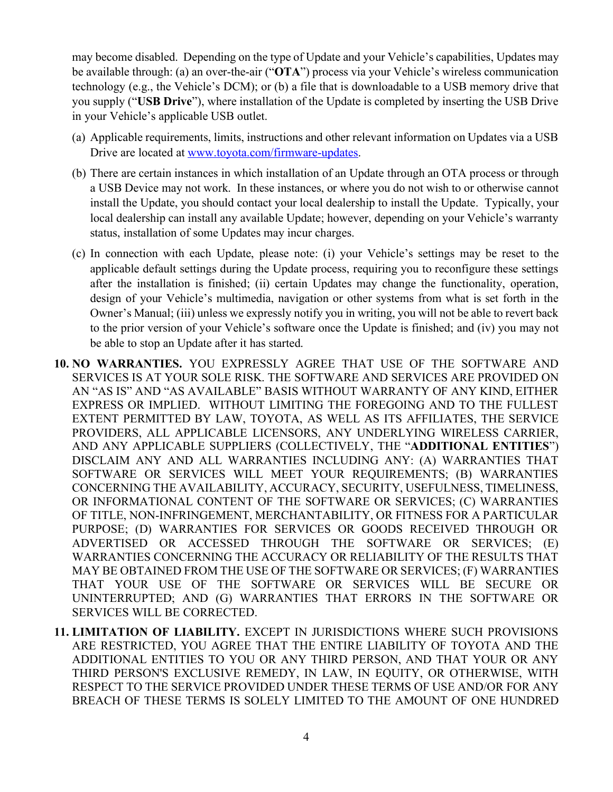may become disabled. Depending on the type of Update and your Vehicle's capabilities, Updates may be available through: (a) an over-the-air ("**OTA**") process via your Vehicle's wireless communication technology (e.g., the Vehicle's DCM); or (b) a file that is downloadable to a USB memory drive that you supply ("**USB Drive**"), where installation of the Update is completed by inserting the USB Drive in your Vehicle's applicable USB outlet.

- (a) Applicable requirements, limits, instructions and other relevant information on Updates via a USB Drive are located at [www.toyota.com/firmware-updates.](http://www.toyota.com/firmware-updates)
- (b) There are certain instances in which installation of an Update through an OTA process or through a USB Device may not work. In these instances, or where you do not wish to or otherwise cannot install the Update, you should contact your local dealership to install the Update. Typically, your local dealership can install any available Update; however, depending on your Vehicle's warranty status, installation of some Updates may incur charges.
- (c) In connection with each Update, please note: (i) your Vehicle's settings may be reset to the applicable default settings during the Update process, requiring you to reconfigure these settings after the installation is finished; (ii) certain Updates may change the functionality, operation, design of your Vehicle's multimedia, navigation or other systems from what is set forth in the Owner's Manual; (iii) unless we expressly notify you in writing, you will not be able to revert back to the prior version of your Vehicle's software once the Update is finished; and (iv) you may not be able to stop an Update after it has started.
- **10. NO WARRANTIES.** YOU EXPRESSLY AGREE THAT USE OF THE SOFTWARE AND SERVICES IS AT YOUR SOLE RISK. THE SOFTWARE AND SERVICES ARE PROVIDED ON AN "AS IS" AND "AS AVAILABLE" BASIS WITHOUT WARRANTY OF ANY KIND, EITHER EXPRESS OR IMPLIED. WITHOUT LIMITING THE FOREGOING AND TO THE FULLEST EXTENT PERMITTED BY LAW, TOYOTA, AS WELL AS ITS AFFILIATES, THE SERVICE PROVIDERS, ALL APPLICABLE LICENSORS, ANY UNDERLYING WIRELESS CARRIER, AND ANY APPLICABLE SUPPLIERS (COLLECTIVELY, THE "**ADDITIONAL ENTITIES**") DISCLAIM ANY AND ALL WARRANTIES INCLUDING ANY: (A) WARRANTIES THAT SOFTWARE OR SERVICES WILL MEET YOUR REQUIREMENTS; (B) WARRANTIES CONCERNING THE AVAILABILITY, ACCURACY, SECURITY, USEFULNESS, TIMELINESS, OR INFORMATIONAL CONTENT OF THE SOFTWARE OR SERVICES; (C) WARRANTIES OF TITLE, NON-INFRINGEMENT, MERCHANTABILITY, OR FITNESS FOR A PARTICULAR PURPOSE; (D) WARRANTIES FOR SERVICES OR GOODS RECEIVED THROUGH OR ADVERTISED OR ACCESSED THROUGH THE SOFTWARE OR SERVICES; (E) WARRANTIES CONCERNING THE ACCURACY OR RELIABILITY OF THE RESULTS THAT MAY BE OBTAINED FROM THE USE OF THE SOFTWARE OR SERVICES; (F) WARRANTIES THAT YOUR USE OF THE SOFTWARE OR SERVICES WILL BE SECURE OR UNINTERRUPTED; AND (G) WARRANTIES THAT ERRORS IN THE SOFTWARE OR SERVICES WILL BE CORRECTED.
- **11. LIMITATION OF LIABILITY.** EXCEPT IN JURISDICTIONS WHERE SUCH PROVISIONS ARE RESTRICTED, YOU AGREE THAT THE ENTIRE LIABILITY OF TOYOTA AND THE ADDITIONAL ENTITIES TO YOU OR ANY THIRD PERSON, AND THAT YOUR OR ANY THIRD PERSON'S EXCLUSIVE REMEDY, IN LAW, IN EQUITY, OR OTHERWISE, WITH RESPECT TO THE SERVICE PROVIDED UNDER THESE TERMS OF USE AND/OR FOR ANY BREACH OF THESE TERMS IS SOLELY LIMITED TO THE AMOUNT OF ONE HUNDRED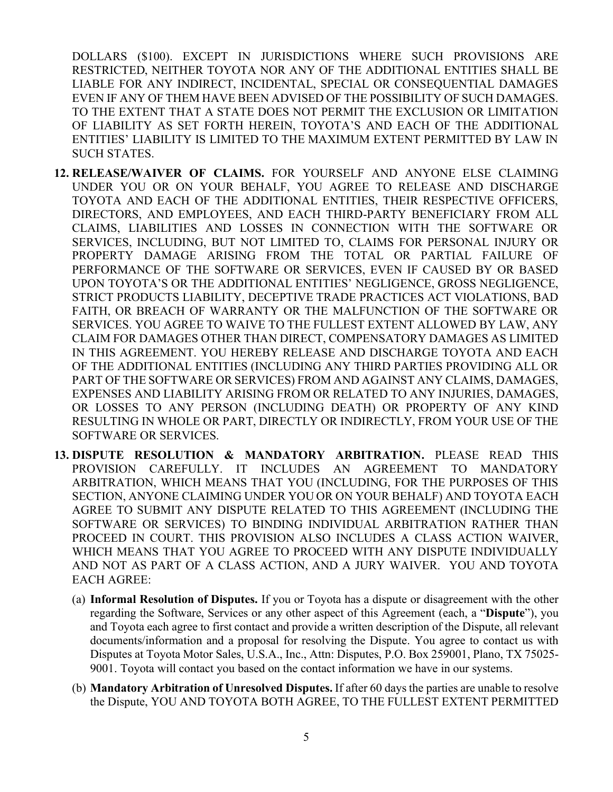DOLLARS (\$100). EXCEPT IN JURISDICTIONS WHERE SUCH PROVISIONS ARE RESTRICTED, NEITHER TOYOTA NOR ANY OF THE ADDITIONAL ENTITIES SHALL BE LIABLE FOR ANY INDIRECT, INCIDENTAL, SPECIAL OR CONSEQUENTIAL DAMAGES EVEN IF ANY OF THEM HAVE BEEN ADVISED OF THE POSSIBILITY OF SUCH DAMAGES. TO THE EXTENT THAT A STATE DOES NOT PERMIT THE EXCLUSION OR LIMITATION OF LIABILITY AS SET FORTH HEREIN, TOYOTA'S AND EACH OF THE ADDITIONAL ENTITIES' LIABILITY IS LIMITED TO THE MAXIMUM EXTENT PERMITTED BY LAW IN SUCH STATES.

- **12. RELEASE/WAIVER OF CLAIMS.** FOR YOURSELF AND ANYONE ELSE CLAIMING UNDER YOU OR ON YOUR BEHALF, YOU AGREE TO RELEASE AND DISCHARGE TOYOTA AND EACH OF THE ADDITIONAL ENTITIES, THEIR RESPECTIVE OFFICERS, DIRECTORS, AND EMPLOYEES, AND EACH THIRD-PARTY BENEFICIARY FROM ALL CLAIMS, LIABILITIES AND LOSSES IN CONNECTION WITH THE SOFTWARE OR SERVICES, INCLUDING, BUT NOT LIMITED TO, CLAIMS FOR PERSONAL INJURY OR PROPERTY DAMAGE ARISING FROM THE TOTAL OR PARTIAL FAILURE OF PERFORMANCE OF THE SOFTWARE OR SERVICES, EVEN IF CAUSED BY OR BASED UPON TOYOTA'S OR THE ADDITIONAL ENTITIES' NEGLIGENCE, GROSS NEGLIGENCE, STRICT PRODUCTS LIABILITY, DECEPTIVE TRADE PRACTICES ACT VIOLATIONS, BAD FAITH, OR BREACH OF WARRANTY OR THE MALFUNCTION OF THE SOFTWARE OR SERVICES. YOU AGREE TO WAIVE TO THE FULLEST EXTENT ALLOWED BY LAW, ANY CLAIM FOR DAMAGES OTHER THAN DIRECT, COMPENSATORY DAMAGES AS LIMITED IN THIS AGREEMENT. YOU HEREBY RELEASE AND DISCHARGE TOYOTA AND EACH OF THE ADDITIONAL ENTITIES (INCLUDING ANY THIRD PARTIES PROVIDING ALL OR PART OF THE SOFTWARE OR SERVICES) FROM AND AGAINST ANY CLAIMS, DAMAGES, EXPENSES AND LIABILITY ARISING FROM OR RELATED TO ANY INJURIES, DAMAGES, OR LOSSES TO ANY PERSON (INCLUDING DEATH) OR PROPERTY OF ANY KIND RESULTING IN WHOLE OR PART, DIRECTLY OR INDIRECTLY, FROM YOUR USE OF THE SOFTWARE OR SERVICES.
- **13. DISPUTE RESOLUTION & MANDATORY ARBITRATION.** PLEASE READ THIS PROVISION CAREFULLY. IT INCLUDES AN AGREEMENT TO MANDATORY ARBITRATION, WHICH MEANS THAT YOU (INCLUDING, FOR THE PURPOSES OF THIS SECTION, ANYONE CLAIMING UNDER YOU OR ON YOUR BEHALF) AND TOYOTA EACH AGREE TO SUBMIT ANY DISPUTE RELATED TO THIS AGREEMENT (INCLUDING THE SOFTWARE OR SERVICES) TO BINDING INDIVIDUAL ARBITRATION RATHER THAN PROCEED IN COURT. THIS PROVISION ALSO INCLUDES A CLASS ACTION WAIVER, WHICH MEANS THAT YOU AGREE TO PROCEED WITH ANY DISPUTE INDIVIDUALLY AND NOT AS PART OF A CLASS ACTION, AND A JURY WAIVER. YOU AND TOYOTA EACH AGREE:
	- (a) **Informal Resolution of Disputes.** If you or Toyota has a dispute or disagreement with the other regarding the Software, Services or any other aspect of this Agreement (each, a "**Dispute**"), you and Toyota each agree to first contact and provide a written description of the Dispute, all relevant documents/information and a proposal for resolving the Dispute. You agree to contact us with Disputes at Toyota Motor Sales, U.S.A., Inc., Attn: Disputes, P.O. Box 259001, Plano, TX 75025- 9001. Toyota will contact you based on the contact information we have in our systems.
	- (b) **Mandatory Arbitration of Unresolved Disputes.** If after 60 days the parties are unable to resolve the Dispute, YOU AND TOYOTA BOTH AGREE, TO THE FULLEST EXTENT PERMITTED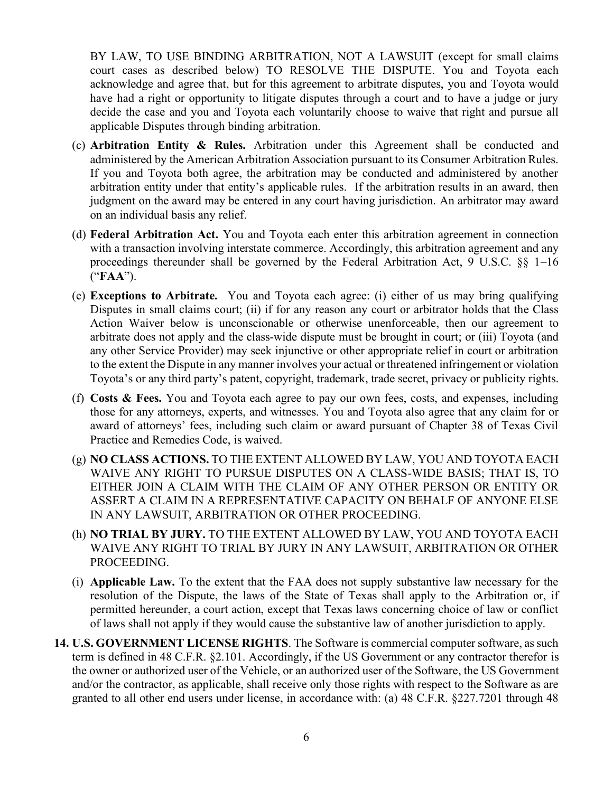BY LAW, TO USE BINDING ARBITRATION, NOT A LAWSUIT (except for small claims court cases as described below) TO RESOLVE THE DISPUTE. You and Toyota each acknowledge and agree that, but for this agreement to arbitrate disputes, you and Toyota would have had a right or opportunity to litigate disputes through a court and to have a judge or jury decide the case and you and Toyota each voluntarily choose to waive that right and pursue all applicable Disputes through binding arbitration.

- (c) **Arbitration Entity & Rules.** Arbitration under this Agreement shall be conducted and administered by the American Arbitration Association pursuant to its Consumer Arbitration Rules. If you and Toyota both agree, the arbitration may be conducted and administered by another arbitration entity under that entity's applicable rules. If the arbitration results in an award, then judgment on the award may be entered in any court having jurisdiction. An arbitrator may award on an individual basis any relief.
- (d) **Federal Arbitration Act.** You and Toyota each enter this arbitration agreement in connection with a transaction involving interstate commerce. Accordingly, this arbitration agreement and any proceedings thereunder shall be governed by the Federal Arbitration Act, 9 U.S.C. §§ 1–16 ("**FAA**").
- (e) **Exceptions to Arbitrate.** You and Toyota each agree: (i) either of us may bring qualifying Disputes in small claims court; (ii) if for any reason any court or arbitrator holds that the Class Action Waiver below is unconscionable or otherwise unenforceable, then our agreement to arbitrate does not apply and the class-wide dispute must be brought in court; or (iii) Toyota (and any other Service Provider) may seek injunctive or other appropriate relief in court or arbitration to the extent the Dispute in any manner involves your actual or threatened infringement or violation Toyota's or any third party's patent, copyright, trademark, trade secret, privacy or publicity rights.
- (f) **Costs & Fees.** You and Toyota each agree to pay our own fees, costs, and expenses, including those for any attorneys, experts, and witnesses. You and Toyota also agree that any claim for or award of attorneys' fees, including such claim or award pursuant of Chapter 38 of Texas Civil Practice and Remedies Code, is waived.
- (g) **NO CLASS ACTIONS.** TO THE EXTENT ALLOWED BY LAW, YOU AND TOYOTA EACH WAIVE ANY RIGHT TO PURSUE DISPUTES ON A CLASS-WIDE BASIS; THAT IS, TO EITHER JOIN A CLAIM WITH THE CLAIM OF ANY OTHER PERSON OR ENTITY OR ASSERT A CLAIM IN A REPRESENTATIVE CAPACITY ON BEHALF OF ANYONE ELSE IN ANY LAWSUIT, ARBITRATION OR OTHER PROCEEDING.
- (h) **NO TRIAL BY JURY.** TO THE EXTENT ALLOWED BY LAW, YOU AND TOYOTA EACH WAIVE ANY RIGHT TO TRIAL BY JURY IN ANY LAWSUIT, ARBITRATION OR OTHER PROCEEDING.
- (i) **Applicable Law.** To the extent that the FAA does not supply substantive law necessary for the resolution of the Dispute, the laws of the State of Texas shall apply to the Arbitration or, if permitted hereunder, a court action, except that Texas laws concerning choice of law or conflict of laws shall not apply if they would cause the substantive law of another jurisdiction to apply.
- **14. U.S. GOVERNMENT LICENSE RIGHTS**. The Software is commercial computer software, as such term is defined in 48 C.F.R. §2.101. Accordingly, if the US Government or any contractor therefor is the owner or authorized user of the Vehicle, or an authorized user of the Software, the US Government and/or the contractor, as applicable, shall receive only those rights with respect to the Software as are granted to all other end users under license, in accordance with: (a) 48 C.F.R. §227.7201 through 48